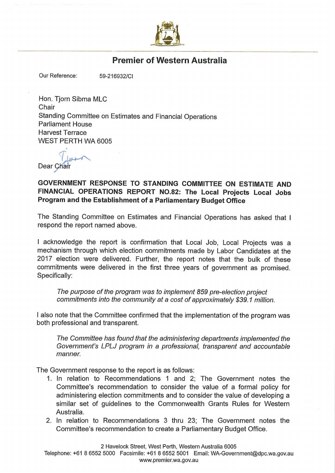

## Premier of Western Australia

Our Reference: 59-216932/Cl

Hon. Tjorn Sibma MLC **Chair** Standing Committee on Estimates and Financial Operations Parliament House Harvest Terrace WEST PERTH WA 6005

Dear Chail

## GOVERNMENT RESPONSE TO STANDING COMMITTEE ON ESTIMATE AND FINANCIAL OPERATIONS REPORT NO.82: The Local Projects Local Jobs Program and the Establishment of a Parliamentary Budget Office

The Standing Committee on Estimates and Financial Operations has asked that I respond the report named above.

I acknowledge the report is confirmation that Local Job, Local Projects was a mechanism through which election commitments made by Labor Candidates at the 2017 election were delivered. Further, the report notes that the bulk of these commitments were delivered in the first three years of government as promised. Specifically:

The purpose of the program was to implement 859 pre-election project commitments into the community at a cost of approximately \$39.1 million.

I also note that the Committee confirmed that the implementation of the program was both professional and transparent.

The Committee has found that the administering departments implemented the Government's LPLJ program in a professional, transparent and accountable manner.

The Government response to the report is as follows:

- 1. In relation to Recommendations 1 and 2; The Government notes the Committee's recommendation to consider the value of a formal policy for administering election commitments and to consider the value of developing a similar set of guidelines to the Commonwealth Grants Rules for Western Australia.
- 2. In relation to Recommendations 3 thru 23; The Government notes the Committee's recommendation to create a Parliamentary Budget Office.

Telephone: +61 8 6552 5000 Facsimile: +61 8 6552 5001 Email: WA-Government@dpc.wa.gov.au www.premier.wa.gov.au